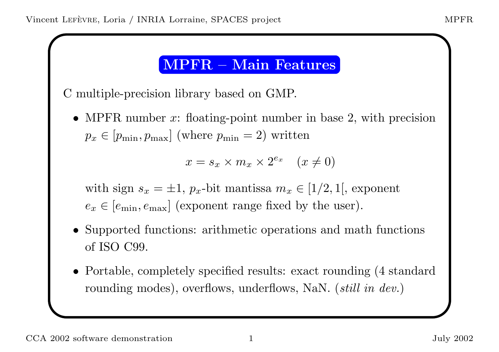### MPFR – Main Features

C multiple-precision library based on GMP.

• MPFR number  $x$ : floating-point number in base 2, with precision  $p_x \in [p_{\min}, p_{\max}]$  (where  $p_{\min} = 2$ ) written

$$
x = s_x \times m_x \times 2^{e_x} \quad (x \neq 0)
$$

with sign  $s_x = \pm 1$ ,  $p_x$ -bit mantissa  $m_x \in [1/2, 1]$ , exponent  $e_x \in [e_{\min}, e_{\max}]$  (exponent range fixed by the user).

- Supported functions: arithmetic operations and math functions of ISO C99.
- Portable, completely specified results: exact rounding (4 standard rounding modes), overflows, underflows, NaN. *(still in dev.)*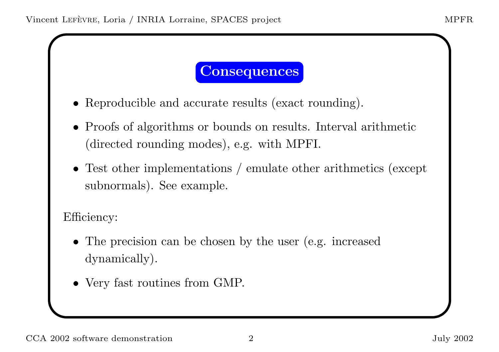### **Consequences**

- Reproducible and accurate results (exact rounding).
- Proofs of algorithms or bounds on results. Interval arithmetic (directed rounding modes), e.g. with MPFI.
- Test other implementations / emulate other arithmetics (except subnormals). See example.

Efficiency:

- The precision can be chosen by the user (e.g. increased dynamically).
- Very fast routines from GMP.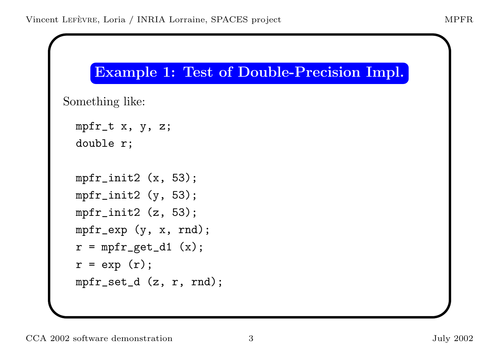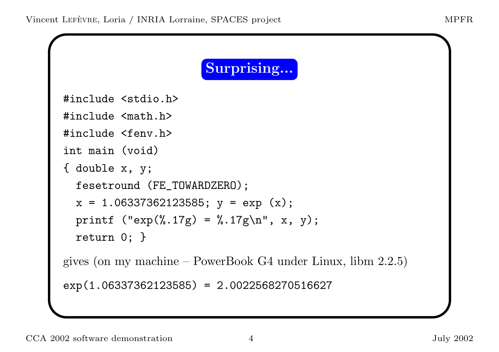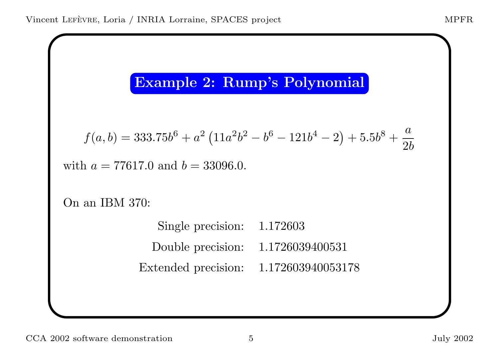## Example 2: Rump's Polynomial

$$
f(a,b) = 333.75b^{6} + a^{2} (11a^{2}b^{2} - b^{6} - 121b^{4} - 2) + 5.5b^{8} + \frac{a}{2b}
$$

with  $a = 77617.0$  and  $b = 33096.0$ .

On an IBM 370:

Single precision: 1.172603 Double precision: 1.1726039400531 Extended precision: 1.172603940053178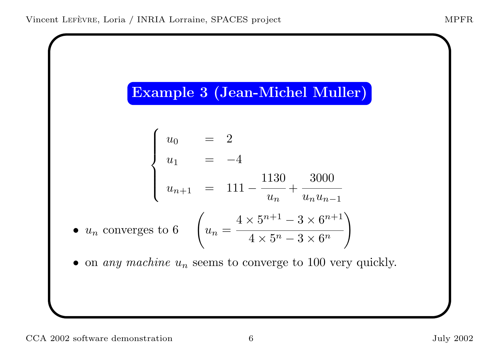# Example <sup>3</sup> (Jean-Michel Muller)

$$
\begin{cases}\nu_0 = 2 \\
u_1 = -4 \\
u_{n+1} = 111 - \frac{1130}{u_n} + \frac{3000}{u_n u_{n-1}}\n\end{cases}
$$
\n•  $u_n$  converges to 6\n
$$
\left(u_n = \frac{4 \times 5^{n+1} - 3 \times 6^{n+1}}{4 \times 5^n - 3 \times 6^n}\right)
$$
\n• on any machine  $u_n$  seems to converge to 100 very quickly.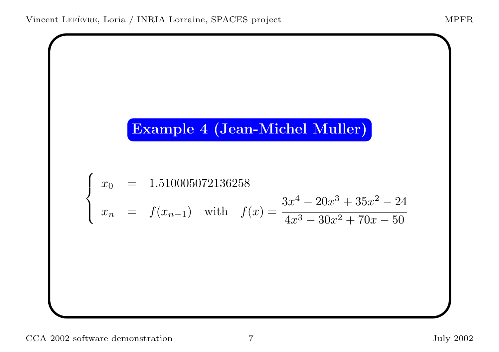# Example <sup>4</sup> (Jean-Michel Muller)

$$
\begin{cases}\nx_0 = 1.510005072136258 \\
x_n = f(x_{n-1}) \text{ with } f(x) = \frac{3x^4 - 20x^3 + 35x^2 - 24}{4x^3 - 30x^2 + 70x - 50}\n\end{cases}
$$